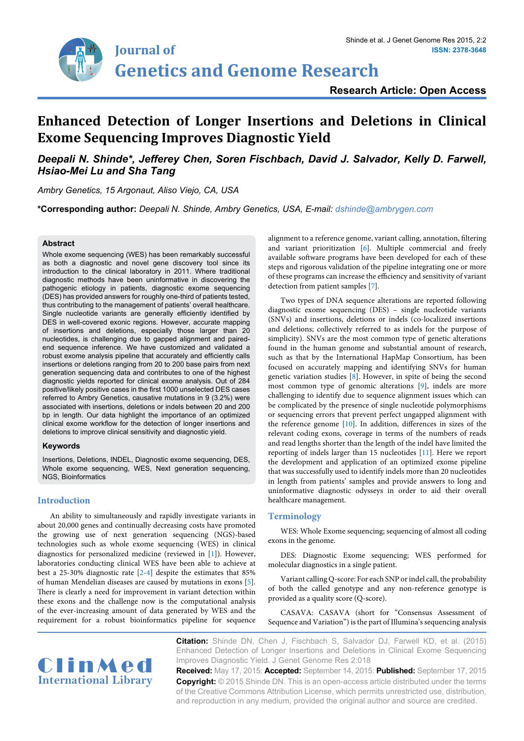

## **Enhanced Detection of Longer Insertions and Deletions in Clinical Exome Sequencing Improves Diagnostic Yield**

## *Deepali N. Shinde\*, Jefferey Chen, Soren Fischbach, David J. Salvador, Kelly D. Farwell, Hsiao-Mei Lu and Sha Tang*

*Ambry Genetics, 15 Argonaut, Aliso Viejo, CA, USA* 

**\*Corresponding author:** *Deepali N. Shinde, Ambry Genetics, USA, E-mail: dshinde@ambrygen.com*

#### **Abstract**

Whole exome sequencing (WES) has been remarkably successful as both a diagnostic and novel gene discovery tool since its introduction to the clinical laboratory in 2011. Where traditional diagnostic methods have been uninformative in discovering the pathogenic etiology in patients, diagnostic exome sequencing (DES) has provided answers for roughly one-third of patients tested, thus contributing to the management of patients' overall healthcare. Single nucleotide variants are generally efficiently identified by DES in well-covered exonic regions. However, accurate mapping of insertions and deletions, especially those larger than 20 nucleotides, is challenging due to gapped alignment and pairedend sequence inference. We have customized and validated a robust exome analysis pipeline that accurately and efficiently calls insertions or deletions ranging from 20 to 200 base pairs from next generation sequencing data and contributes to one of the highest diagnostic yields reported for clinical exome analysis. Out of 284 positive/likely positive cases in the first 1000 unselected DES cases referred to Ambry Genetics, causative mutations in 9 (3.2%) were associated with insertions, deletions or indels between 20 and 200 bp in length. Our data highlight the importance of an optimized clinical exome workflow for the detection of longer insertions and deletions to improve clinical sensitivity and diagnostic yield.

#### **Keywords**

Insertions, Deletions, INDEL, Diagnostic exome sequencing, DES, Whole exome sequencing, WES, Next generation sequencing, NGS, Bioinformatics

#### **Introduction**

An ability to simultaneously and rapidly investigate variants in about 20,000 genes and continually decreasing costs have promoted the growing use of next generation sequencing (NGS)-based technologies such as whole exome sequencing (WES) in clinical diagnostics for personalized medicine (reviewed in [[1\]](#page-3-0)). However, laboratories conducting clinical WES have been able to achieve at best a 25-30% diagnostic rate [[2](#page-3-1)[-4\]](#page-4-6) despite the estimates that 85% of human Mendelian diseases are caused by mutations in exons [\[5](#page-4-7)]. There is clearly a need for improvement in variant detection within these exons and the challenge now is the computational analysis of the ever-increasing amount of data generated by WES and the requirement for a robust bioinformatics pipeline for sequence alignment to a reference genome, variant calling, annotation, filtering and variant prioritization [[6\]](#page-4-0). Multiple commercial and freely available software programs have been developed for each of these steps and rigorous validation of the pipeline integrating one or more of these programs can increase the efficiency and sensitivity of variant detection from patient samples [[7\]](#page-4-1).

Two types of DNA sequence alterations are reported following diagnostic exome sequencing (DES) – single nucleotide variants (SNVs) and insertions, deletions or indels (co-localized insertions and deletions; collectively referred to as indels for the purpose of simplicity). SNVs are the most common type of genetic alterations found in the human genome and substantial amount of research, such as that by the International HapMap Consortium, has been focused on accurately mapping and identifying SNVs for human genetic variation studies [[8](#page-4-2)]. However, in spite of being the second most common type of genomic alterations [[9](#page-4-3)], indels are more challenging to identify due to sequence alignment issues which can be complicated by the presence of single nucleotide polymorphisms or sequencing errors that prevent perfect ungapped alignment with the reference genome [[10\]](#page-4-4). In addition, differences in sizes of the relevant coding exons, coverage in terms of the numbers of reads and read lengths shorter than the length of the indel have limited the reporting of indels larger than 15 nucleotides [\[11\]](#page-4-5). Here we report the development and application of an optimized exome pipeline that was successfully used to identify indels more than 20 nucleotides in length from patients' samples and provide answers to long and uninformative diagnostic odysseys in order to aid their overall healthcare management.

## **Terminology**

WES: Whole Exome sequencing; sequencing of almost all coding exons in the genome.

DES: Diagnostic Exome sequencing; WES performed for molecular diagnostics in a single patient.

Variant calling Q-score: For each SNP or indel call, the probability of both the called genotype and any non-reference genotype is provided as a quality score (Q-score).

CASAVA: CASAVA (short for "Consensus Assessment of Sequence and Variation") is the part of Illumina's sequencing analysis



**Citation:** Shinde DN, Chen J, Fischbach S, Salvador DJ, Farwell KD, et al. (2015) Enhanced Detection of Longer Insertions and Deletions in Clinical Exome Sequencing Improves Diagnostic Yield. J Genet Genome Res 2:018

**Received:** May 17, 2015: **Accepted:** September 14, 2015: **Published:** September 17, 2015 **Copyright:** © 2015 Shinde DN. This is an open-access article distributed under the terms of the Creative Commons Attribution License, which permits unrestricted use, distribution, and reproduction in any medium, provided the original author and source are credited.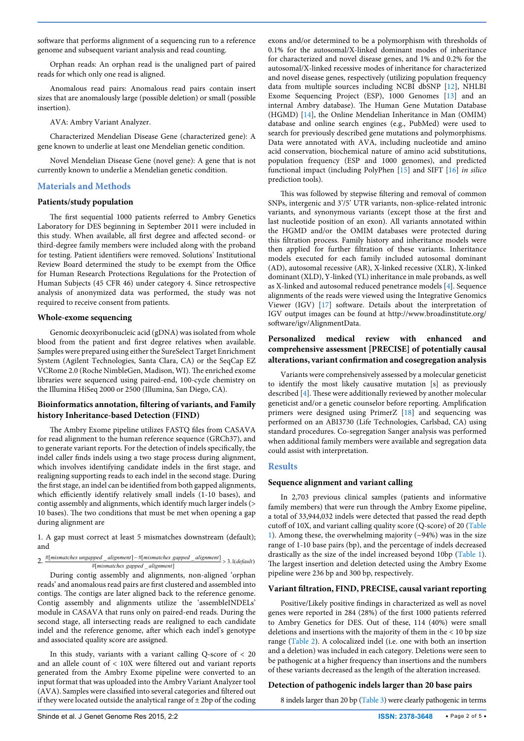software that performs alignment of a sequencing run to a reference genome and subsequent variant analysis and read counting.

Orphan reads: An orphan read is the unaligned part of paired reads for which only one read is aligned.

Anomalous read pairs: Anomalous read pairs contain insert sizes that are anomalously large (possible deletion) or small (possible insertion).

AVA: Ambry Variant Analyzer.

Characterized Mendelian Disease Gene (characterized gene): A gene known to underlie at least one Mendelian genetic condition.

Novel Mendelian Disease Gene (novel gene): A gene that is not currently known to underlie a Mendelian genetic condition.

## **Materials and Methods**

#### **Patients/study population**

The first sequential 1000 patients referred to Ambry Genetics Laboratory for DES beginning in September 2011 were included in this study. When available, all first degree and affected second- or third-degree family members were included along with the proband for testing. Patient identifiers were removed. Solutions' Institutional Review Board determined the study to be exempt from the Office for Human Research Protections Regulations for the Protection of Human Subjects (45 CFR 46) under category 4. Since retrospective analysis of anonymized data was performed, the study was not required to receive consent from patients.

#### **Whole-exome sequencing**

Genomic deoxyribonucleic acid (gDNA) was isolated from whole blood from the patient and first degree relatives when available. Samples were prepared using either the SureSelect Target Enrichment System (Agilent Technologies, Santa Clara, CA) or the SeqCap EZ VCRome 2.0 (Roche NimbleGen, Madison, WI). The enriched exome libraries were sequenced using paired-end, 100-cycle chemistry on the Illumina HiSeq 2000 or 2500 (Illumina, San Diego, CA).

## **Bioinformatics annotation, filtering of variants, and Family history Inheritance-based Detection (FIND)**

The Ambry Exome pipeline utilizes FASTQ files from CASAVA for read alignment to the human reference sequence (GRCh37), and to generate variant reports. For the detection of indels specifically, the indel caller finds indels using a two stage process during alignment, which involves identifying candidate indels in the first stage, and realigning supporting reads to each indel in the second stage. During the first stage, an indel can be identified from both gapped alignments, which efficiently identify relatively small indels (1-10 bases), and contig assembly and alignments, which identify much larger indels (> 10 bases). The two conditions that must be met when opening a gap during alignment are

1. A gap must correct at least 5 mismatches downstream (default); and

# 2. #[mismatches ungapped \_alignment] - #[mismatches gapped \_alignment] > 3.1( default)<br>
#[mismatches gapped \_alignment]

During contig assembly and alignments, non-aligned 'orphan reads' and anomalous read pairs are first clustered and assembled into contigs. The contigs are later aligned back to the reference genome. Contig assembly and alignments utilize the 'assembleINDELs' module in CASAVA that runs only on paired-end reads. During the second stage, all intersecting reads are realigned to each candidate indel and the reference genome, after which each indel's genotype and associated quality score are assigned.

In this study, variants with a variant calling  $Q$ -score of  $<$  20 and an allele count of < 10X were filtered out and variant reports generated from the Ambry Exome pipeline were converted to an input format that was uploaded into the Ambry Variant Analyzer tool (AVA). Samples were classified into several categories and filtered out if they were located outside the analytical range of  $\pm$  2bp of the coding exons and/or determined to be a polymorphism with thresholds of 0.1% for the autosomal/X-linked dominant modes of inheritance for characterized and novel disease genes, and 1% and 0.2% for the autosomal/X-linked recessive modes of inheritance for characterized and novel disease genes, respectively (utilizing population frequency data from multiple sources including NCBI dbSNP [\[12\]](#page-4-8), NHLBI Exome Sequencing Project (ESP), 1000 Genomes [[13](#page-4-9)] and an internal Ambry database). The Human Gene Mutation Database (HGMD) [[14\]](#page-4-10), the Online Mendelian Inheritance in Man (OMIM) database and online search engines (e.g., PubMed) were used to search for previously described gene mutations and polymorphisms. Data were annotated with AVA, including nucleotide and amino acid conservation, biochemical nature of amino acid substitutions, population frequency (ESP and 1000 genomes), and predicted functional impact (including PolyPhen [\[15](#page-4-11)] and SIFT [[16](#page-4-12)] *in silico* prediction tools).

This was followed by stepwise filtering and removal of common SNPs, intergenic and 3'/5' UTR variants, non-splice-related intronic variants, and synonymous variants (except those at the first and last nucleotide position of an exon). All variants annotated within the HGMD and/or the OMIM databases were protected during this filtration process. Family history and inheritance models were then applied for further filtration of these variants. Inheritance models executed for each family included autosomal dominant (AD), autosomal recessive (AR), X-linked recessive (XLR), X-linked dominant (XLD), Y-linked (YL) inheritance in male probands, as well as X-linked and autosomal reduced penetrance models [\[4\]](#page-4-6). Sequence alignments of the reads were viewed using the Integrative Genomics Viewer (IGV) [\[17\]](#page-4-13) software. Details about the interpretation of IGV output images can be found at [http://www.broadinstitute.org/](http://www.broadinstitute.org/software/igv/AlignmentData) [software/igv/AlignmentData](http://www.broadinstitute.org/software/igv/AlignmentData).

## **Personalized medical review with enhanced and comprehensive assessment [PRECISE] of potentially causal alterations, variant confirmation and cosegregation analysis**

Variants were comprehensively assessed by a molecular geneticist to identify the most likely causative mutation [s] as previously described [\[4\]](#page-4-6). These were additionally reviewed by another molecular geneticist and/or a genetic counselor before reporting. Amplification primers were designed using PrimerZ [\[18\]](#page-4-14) and sequencing was performed on an ABI3730 (Life Technologies, Carlsbad, CA) using standard procedures. Co-segregation Sanger analysis was performed when additional family members were available and segregation data could assist with interpretation.

## **Results**

## **Sequence alignment and variant calling**

In 2,703 previous clinical samples (patients and informative family members) that were run through the Ambry Exome pipeline, a total of 33,944,032 indels were detected that passed the read depth cutoff of 10X, and variant calling quality score (Q-score) of 20 ([Table](#page-2-0)  [1](#page-2-0)). Among these, the overwhelming majority  $(\sim 94\%)$  was in the size range of 1-10 base pairs (bp), and the percentage of indels decreased drastically as the size of the indel increased beyond 10bp [\(Table 1\)](#page-2-0). The largest insertion and deletion detected using the Ambry Exome pipeline were 236 bp and 300 bp, respectively.

## **Variant filtration, FIND, PRECISE, causal variant reporting**

Positive/Likely positive findings in characterized as well as novel genes were reported in 284 (28%) of the first 1000 patients referred to Ambry Genetics for DES. Out of these, 114 (40%) were small deletions and insertions with the majority of them in the < 10 bp size range ([Table 2\)](#page-2-1). A colocalized indel (i.e. one with both an insertion and a deletion) was included in each category. Deletions were seen to be pathogenic at a higher frequency than insertions and the numbers of these variants decreased as the length of the alteration increased.

## **Detection of pathogenic indels larger than 20 base pairs**

8 indels larger than 20 bp [\(Table 3](#page-2-2)) were clearly pathogenic in terms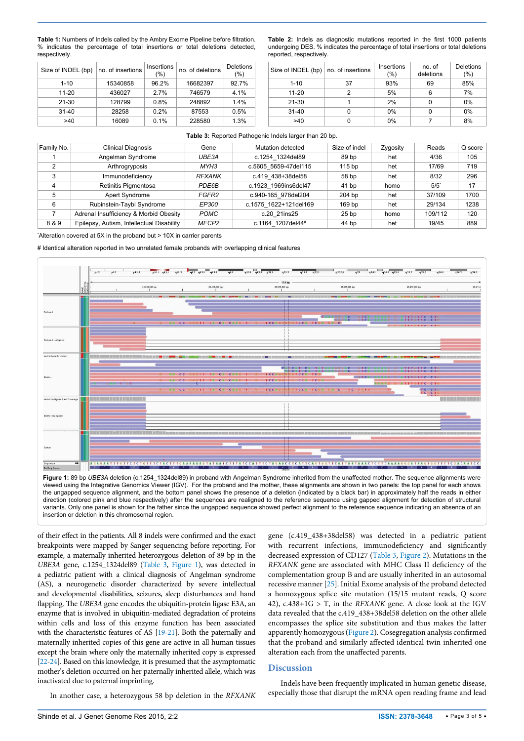<span id="page-2-0"></span>**Table 1:** Numbers of Indels called by the Ambry Exome Pipeline before filtration. % indicates the percentage of total insertions or total deletions detected, respectively.

<span id="page-2-1"></span>**Table 2:** Indels as diagnostic mutations reported in the first 1000 patients undergoing DES. % indicates the percentage of total insertions or total deletions reported, respectively.

| Size of INDEL (bp) | no. of insertions | Insertions<br>(%) | no. of deletions | <b>Deletions</b><br>(%) | Size of |
|--------------------|-------------------|-------------------|------------------|-------------------------|---------|
| $1 - 10$           | 15340858          | 96.2%             | 16682397         | 92.7%                   |         |
| 11-20              | 436027            | 2.7%              | 746579           | 4.1%                    |         |
| $21 - 30$          | 128799            | 0.8%              | 248892           | 1.4%                    | r       |
| $31 - 40$          | 28258             | 0.2%              | 87553            | 0.5%                    | ٠       |
| >40                | 16089             | 0.1%              | 228580           | 1.3%                    |         |

| Size of INDEL (bp)   no. of insertions |    | Insertions<br>(%) | no. of<br>deletions | Deletions<br>(%) |  |
|----------------------------------------|----|-------------------|---------------------|------------------|--|
| $1 - 10$                               | 37 | 93%               | 69                  | 85%              |  |
| $11 - 20$                              |    | 5%                | 6                   | 7%               |  |
| $21 - 30$                              |    | 2%                |                     | 0%               |  |
| $31 - 40$                              |    | $0\%$             |                     | 0%               |  |
| >40                                    |    | 0%                |                     | 8%               |  |

#### <span id="page-2-2"></span>**Table 3:** Reported Pathogenic Indels larger than 20 bp.

| Family No.     | Clinical Diagnosis                        | Gene          | Mutation detected     | Size of indel     | Zygosity | Reads              | Q score |
|----------------|-------------------------------------------|---------------|-----------------------|-------------------|----------|--------------------|---------|
|                | Angelman Syndrome                         | UBE3A         | c.1254 1324del89      | 89 bp             | het      | 4/36               | 105     |
| $\overline{2}$ | Arthrogryposis                            | MYH3          | c.5605 5659-47del115  | 115 <sub>bp</sub> | het      | 17/69              | 719     |
|                | Immunodeficiency                          | <b>RFXANK</b> | c.419 438+38del58     | 58 bp             | het      | 8/32               | 296     |
| $\overline{4}$ | Retinitis Pigmentosa                      | PDE6B         | c.1923 1969ins6del47  | 41 bp             | homo     | $5/5$ <sup>*</sup> | 17      |
|                | Apert Syndrome                            | FGFR2         | c.940-165 978del204   | 204 bp            | het      | 37/109             | 1700    |
| 6              | Rubinstein-Taybi Syndrome                 | <b>EP300</b>  | c.1575 1622+121del169 | 169 bp            | het      | 29/134             | 1238    |
|                | Adrenal Insufficiency & Morbid Obesity    | <b>POMC</b>   | c.20 21ins25          | 25 <sub>bp</sub>  | homo     | 109/112            | 120     |
| 8 & 9          | Epilepsy, Autism, Intellectual Disability | MECP2         | c.1164 1207del44#     | 44 bp             | het      | 19/45              | 889     |

\* Alteration covered at 5X in the proband but > 10X in carrier parents

# Identical alteration reported in two unrelated female probands with overlapping clinical features

<span id="page-2-3"></span>

insertion or deletion in this chromosomal region.

of their effect in the patients. All 8 indels were confirmed and the exact breakpoints were mapped by Sanger sequencing before reporting. For example, a maternally inherited heterozygous deletion of 89 bp in the *UBE3A* gene, c.1254\_1324del89 [\(Table 3,](#page-2-2) [Figure 1](#page-2-3)), was detected in a pediatric patient with a clinical diagnosis of Angelman syndrome (AS), a neurogenetic disorder characterized by severe intellectual and developmental disabilities, seizures, sleep disturbances and hand flapping. The *UBE3A* gene encodes the ubiquitin-protein ligase E3A, an enzyme that is involved in ubiquitin-mediated degradation of proteins within cells and loss of this enzyme function has been associated with the characteristic features of AS [\[19](#page-4-16)[-21\]](#page-4-17). Both the paternally and maternally inherited copies of this gene are active in all human tissues except the brain where only the maternally inherited copy is expressed [\[22-](#page-4-18)[24](#page-4-19)]. Based on this knowledge, it is presumed that the asymptomatic mother's deletion occurred on her paternally inherited allele, which was inactivated due to paternal imprinting.

gene (c.419\_438+38del58) was detected in a pediatric patient with recurrent infections, immunodeficiency and significantly decreased expression of CD127 ([Table 3](#page-2-2), [Figure 2\)](#page-3-2). Mutations in the *RFXANK* gene are associated with MHC Class II deficiency of the complementation group B and are usually inherited in an autosomal recessive manner [[25](#page-4-15)]. Initial Exome analysis of the proband detected a homozygous splice site mutation (15/15 mutant reads, Q score 42), c.438+1G > T, in the *RFXANK* gene. A close look at the IGV data revealed that the c.419\_438+38del58 deletion on the other allele encompasses the splice site substitution and thus makes the latter apparently homozygous ([Figure 2](#page-3-2)). Cosegregation analysis confirmed that the proband and similarly affected identical twin inherited one alteration each from the unaffected parents.

## **Discussion**

In another case, a heterozygous 58 bp deletion in the *RFXANK*

Indels have been frequently implicated in human genetic disease, especially those that disrupt the mRNA open reading frame and lead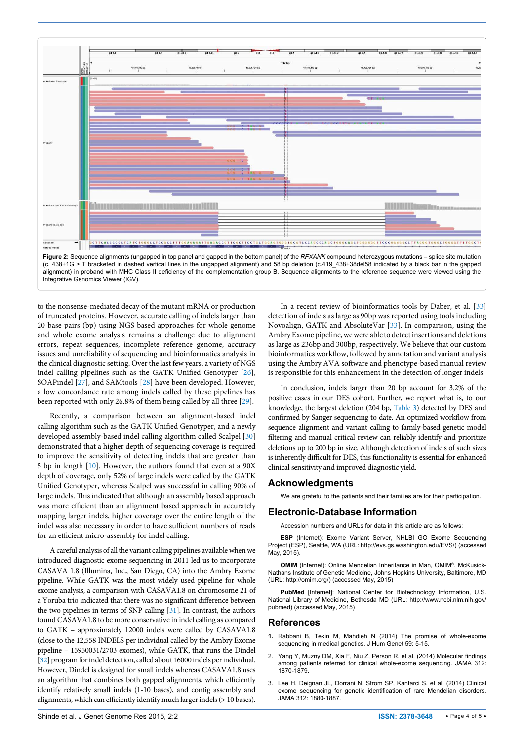<span id="page-3-2"></span>

Integrative Genomics Viewer (IGV).

to the nonsense-mediated decay of the mutant mRNA or production of truncated proteins. However, accurate calling of indels larger than 20 base pairs (bp) using NGS based approaches for whole genome and whole exome analysis remains a challenge due to alignment errors, repeat sequences, incomplete reference genome, accuracy issues and unreliability of sequencing and bioinformatics analysis in the clinical diagnostic setting. Over the last few years, a variety of NGS indel calling pipelines such as the GATK Unified Genotyper [[26](#page-4-21)], SOAPindel [\[27](#page-4-22)], and SAMtools [[28\]](#page-4-23) have been developed. However, a low concordance rate among indels called by these pipelines has been reported with only 26.8% of them being called by all three [[29](#page-4-24)].

Recently, a comparison between an alignment-based indel calling algorithm such as the GATK Unified Genotyper, and a newly developed assembly-based indel calling algorithm called Scalpel [[30](#page-4-25)] demonstrated that a higher depth of sequencing coverage is required to improve the sensitivity of detecting indels that are greater than 5 bp in length [\[10](#page-4-4)]. However, the authors found that even at a 90X depth of coverage, only 52% of large indels were called by the GATK Unified Genotyper, whereas Scalpel was successful in calling 90% of large indels. This indicated that although an assembly based approach was more efficient than an alignment based approach in accurately mapping larger indels, higher coverage over the entire length of the indel was also necessary in order to have sufficient numbers of reads for an efficient micro-assembly for indel calling.

A careful analysis of all the variant calling pipelines available when we introduced diagnostic exome sequencing in 2011 led us to incorporate CASAVA 1.8 (Illumina, Inc., San Diego, CA) into the Ambry Exome pipeline. While GATK was the most widely used pipeline for whole exome analysis, a comparison with CASAVA1.8 on chromosome 21 of a Yoruba trio indicated that there was no significant difference between the two pipelines in terms of SNP calling [\[31\]](#page-4-26). In contrast, the authors found CASAVA1.8 to be more conservative in indel calling as compared to GATK – approximately 12000 indels were called by CASAVA1.8 (close to the 12,558 INDELS per individual called by the Ambry Exome pipeline – 15950031/2703 exomes), while GATK, that runs the Dindel [\[32\]](#page-4-27) program for indel detection, called about 16000 indels per individual. However, Dindel is designed for small indels whereas CASAVA1.8 uses an algorithm that combines both gapped alignments, which efficiently identify relatively small indels (1-10 bases), and contig assembly and alignments, which can efficiently identify much larger indels (> 10 bases).

In a recent review of bioinformatics tools by Daber, et al. [\[33\]](#page-4-20) detection of indels as large as 90bp was reported using tools including Novoalign, GATK and AbsoluteVar [\[33\]](#page-4-20). In comparison, using the Ambry Exome pipeline, we were able to detect insertions and deletions as large as 236bp and 300bp, respectively. We believe that our custom bioinformatics workflow, followed by annotation and variant analysis using the Ambry AVA software and phenotype-based manual review is responsible for this enhancement in the detection of longer indels.

In conclusion, indels larger than 20 bp account for 3.2% of the positive cases in our DES cohort. Further, we report what is, to our knowledge, the largest deletion (204 bp, [Table 3](#page-2-2)) detected by DES and confirmed by Sanger sequencing to date. An optimized workflow from sequence alignment and variant calling to family-based genetic model filtering and manual critical review can reliably identify and prioritize deletions up to 200 bp in size. Although detection of indels of such sizes is inherently difficult for DES, this functionality is essential for enhanced clinical sensitivity and improved diagnostic yield.

## **Acknowledgments**

We are grateful to the patients and their families are for their participation.

## **Electronic-Database Information**

Accession numbers and URLs for data in this article are as follows:

**ESP** (Internet): Exome Variant Server, NHLBI GO Exome Sequencing Project (ESP), Seattle, WA (URL: [http://evs.gs.washington.edu/EVS/\)](http://evs.gs.washington.edu/EVS/) (accessed May, 2015).

**OMIM** (Internet): Online Mendelian Inheritance in Man, OMIM®. McKusick-Nathans Institute of Genetic Medicine, Johns Hopkins University, Baltimore, MD (URL: [http://omim.org/\)](http://omim.org/) (accessed May, 2015)

**PubMed** [Internet]: National Center for Biotechnology Information, U.S. National Library of Medicine, Bethesda MD (URL: [http://www.ncbi.nlm.nih.gov/](http://www.ncbi.nlm.nih.gov/pubmed) [pubmed](http://www.ncbi.nlm.nih.gov/pubmed)) (accessed May, 2015)

## **References**

- <span id="page-3-0"></span>**1.** [Rabbani B, Tekin M, Mahdieh N \(2014\) The promise of whole-exome](http://www.ncbi.nlm.nih.gov/pubmed/24196381)  [sequencing in medical genetics. J Hum Genet 59: 5-15.](http://www.ncbi.nlm.nih.gov/pubmed/24196381)
- <span id="page-3-1"></span>2. [Yang Y, Muzny DM, Xia F, Niu Z, Person R, et al. \(2014\) Molecular findings](http://www.ncbi.nlm.nih.gov/pubmed/25326635)  [among patients referred for clinical whole-exome sequencing. JAMA 312:](http://www.ncbi.nlm.nih.gov/pubmed/25326635)  [1870-1879.](http://www.ncbi.nlm.nih.gov/pubmed/25326635)
- 3. [Lee H, Deignan JL, Dorrani N, Strom SP, Kantarci S, et al. \(2014\) Clinical](http://www.ncbi.nlm.nih.gov/pubmed/25326637)  [exome sequencing for genetic identification of rare Mendelian disorders.](http://www.ncbi.nlm.nih.gov/pubmed/25326637)  [JAMA 312: 1880-1887.](http://www.ncbi.nlm.nih.gov/pubmed/25326637)